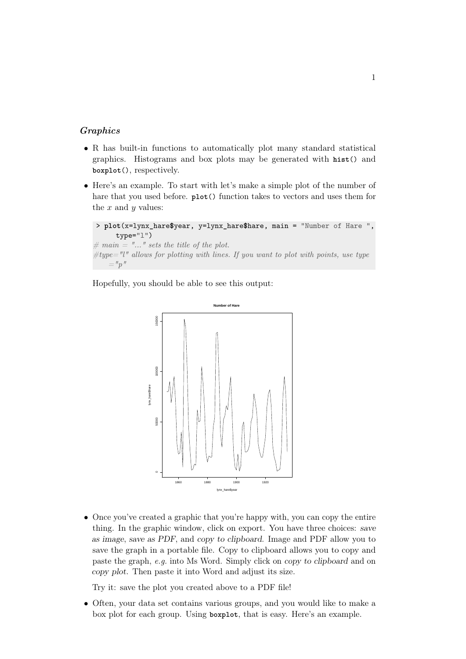## Graphics

- R has built-in functions to automatically plot many standard statistical graphics. Histograms and box plots may be generated with **hist**() and **boxplot**(), respectively.
- Here's an example. To start with let's make a simple plot of the number of hare that you used before. **plot**() function takes to vectors and uses them for the  $x$  and  $y$  values:

```
> plot(x=lynx_hare$year, y=lynx_hare$hare, main = "Number of Hare ",
     type="l")
```

```
\# main = "..." sets the title of the plot.
\#type="l" allows for plotting with lines. If you want to plot with points, use type
     ="p"
```
Hopefully, you should be able to see this output:



• Once you've created a graphic that you're happy with, you can copy the entire thing. In the graphic window, click on export. You have three choices: save as image, save as PDF, and copy to clipboard. Image and PDF allow you to save the graph in a portable file. Copy to clipboard allows you to copy and paste the graph, e.g. into Ms Word. Simply click on copy to clipboard and on copy plot. Then paste it into Word and adjust its size.

Try it: save the plot you created above to a PDF file!

• Often, your data set contains various groups, and you would like to make a box plot for each group. Using **boxplot**, that is easy. Here's an example.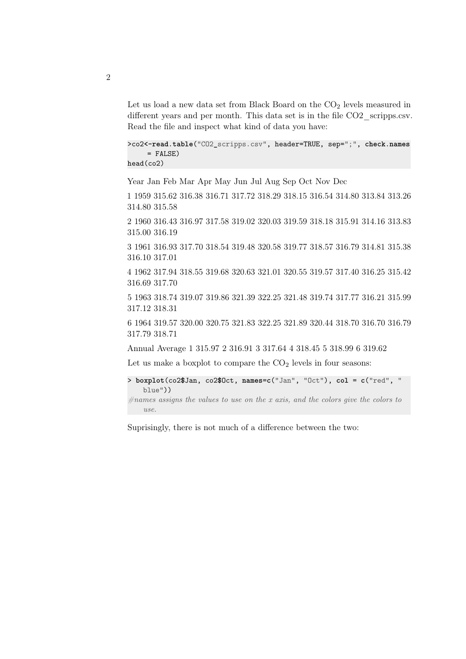Let us load a new data set from Black Board on the  $CO<sub>2</sub>$  levels measured in different years and per month. This data set is in the file CO2 scripps.csv. Read the file and inspect what kind of data you have:

```
>co2<-read.table("CO2_scripps.csv", header=TRUE, sep=";", check.names
     = FALSE)
head(co2)
```
Year Jan Feb Mar Apr May Jun Jul Aug Sep Oct Nov Dec

1 1959 315.62 316.38 316.71 317.72 318.29 318.15 316.54 314.80 313.84 313.26 314.80 315.58

2 1960 316.43 316.97 317.58 319.02 320.03 319.59 318.18 315.91 314.16 313.83 315.00 316.19

3 1961 316.93 317.70 318.54 319.48 320.58 319.77 318.57 316.79 314.81 315.38 316.10 317.01

4 1962 317.94 318.55 319.68 320.63 321.01 320.55 319.57 317.40 316.25 315.42 316.69 317.70

5 1963 318.74 319.07 319.86 321.39 322.25 321.48 319.74 317.77 316.21 315.99 317.12 318.31

6 1964 319.57 320.00 320.75 321.83 322.25 321.89 320.44 318.70 316.70 316.79 317.79 318.71

Annual Average 1 315.97 2 316.91 3 317.64 4 318.45 5 318.99 6 319.62

Let us make a boxplot to compare the  $CO<sub>2</sub>$  levels in four seasons:

```
> boxplot(co2$Jan, co2$Oct, names=c("Jan", "Oct"), col = c("red", "
   blue"))
```
 $#names$  assigns the values to use on the x axis, and the colors give the colors to use.

Suprisingly, there is not much of a difference between the two: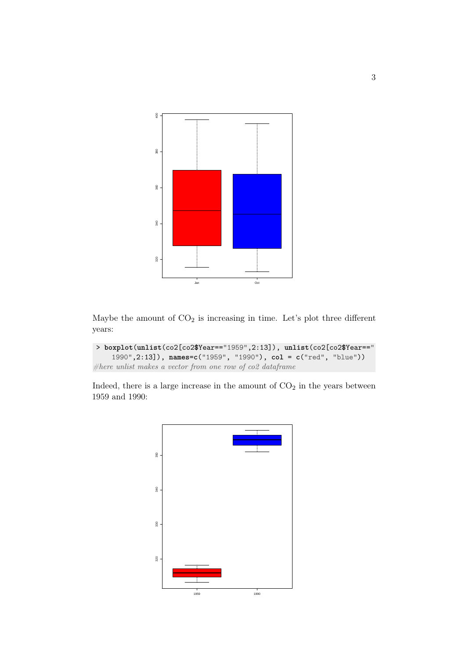

Maybe the amount of  $CO<sub>2</sub>$  is increasing in time. Let's plot three different years:

```
> boxplot(unlist(co2[co2$Year=="1959",2:13]), unlist(co2[co2$Year=="
    1990",2:13]), names=c("1959", "1990"), col = c("red", "blue"))
#here unlist makes a vector from one row of co2 dataframe
```
Indeed, there is a large increase in the amount of  $CO<sub>2</sub>$  in the years between 1959 and 1990:

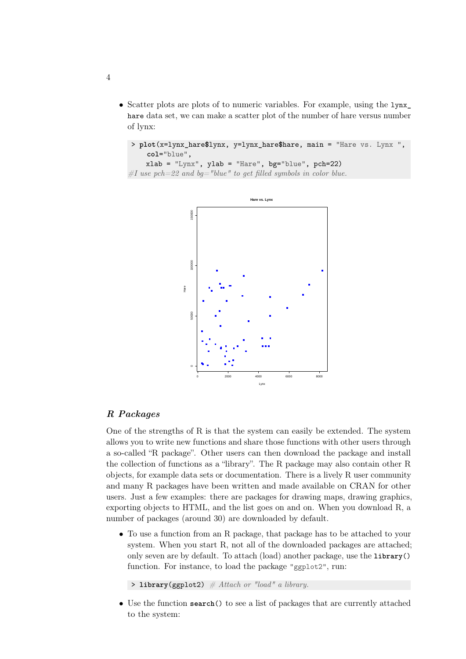• Scatter plots are plots of to numeric variables. For example, using the  $1$ ynx<sub>\_</sub> hare data set, we can make a scatter plot of the number of hare versus number of lynx:

```
> plot(x=lynx_hare$lynx, y=lynx_hare$hare, main = "Hare vs. Lynx ",
    col="blue",
```

```
xlab = "Lynx", ylab = "Hare", bg="blue", pch=22)\#I use pch=22 and bg="blue" to get filled symbols in color blue.
```


## R Packages

One of the strengths of R is that the system can easily be extended. The system allows you to write new functions and share those functions with other users through a so-called "R package". Other users can then download the package and install the collection of functions as a "library". The R package may also contain other R objects, for example data sets or documentation. There is a lively R user community and many R packages have been written and made available on CRAN for other users. Just a few examples: there are packages for drawing maps, drawing graphics, exporting objects to HTML, and the list goes on and on. When you download R, a number of packages (around 30) are downloaded by default.

• To use a function from an R package, that package has to be attached to your system. When you start R, not all of the downloaded packages are attached; only seven are by default. To attach (load) another package, use the **library**() function. For instance, to load the package "ggplot2", run:

 $\rightarrow$  **library**(ggplot2) # Attach or "load" a library.

• Use the function **search**() to see a list of packages that are currently attached to the system:

4